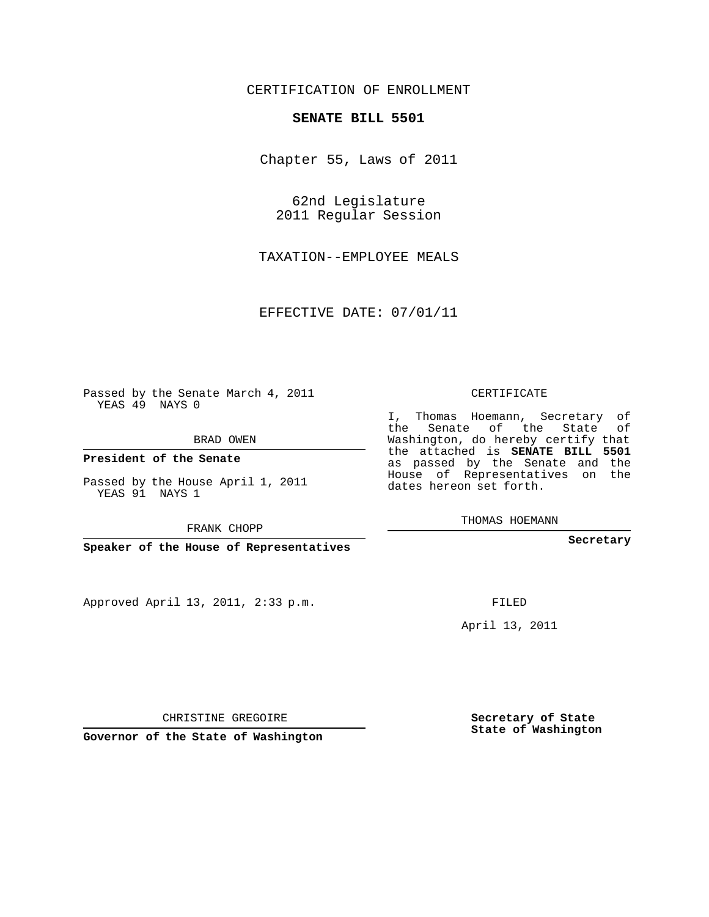## CERTIFICATION OF ENROLLMENT

## **SENATE BILL 5501**

Chapter 55, Laws of 2011

62nd Legislature 2011 Regular Session

TAXATION--EMPLOYEE MEALS

EFFECTIVE DATE: 07/01/11

Passed by the Senate March 4, 2011 YEAS 49 NAYS 0

BRAD OWEN

**President of the Senate**

Passed by the House April 1, 2011 YEAS 91 NAYS 1

FRANK CHOPP

**Speaker of the House of Representatives**

Approved April 13, 2011, 2:33 p.m.

CERTIFICATE

I, Thomas Hoemann, Secretary of the Senate of the State of Washington, do hereby certify that the attached is **SENATE BILL 5501** as passed by the Senate and the House of Representatives on the dates hereon set forth.

THOMAS HOEMANN

**Secretary**

FILED

April 13, 2011

CHRISTINE GREGOIRE

**Governor of the State of Washington**

**Secretary of State State of Washington**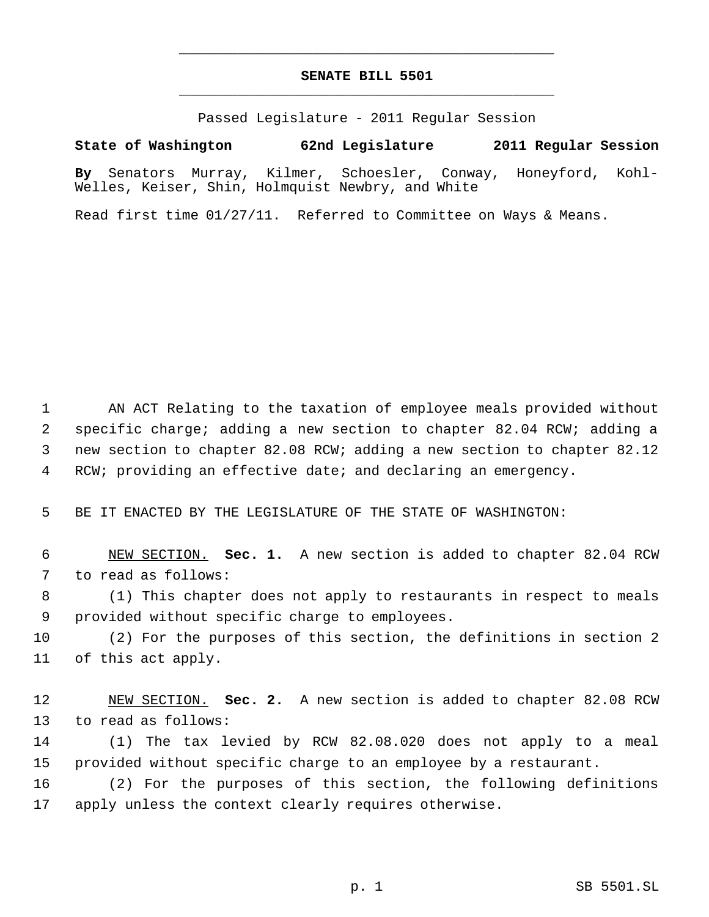## **SENATE BILL 5501** \_\_\_\_\_\_\_\_\_\_\_\_\_\_\_\_\_\_\_\_\_\_\_\_\_\_\_\_\_\_\_\_\_\_\_\_\_\_\_\_\_\_\_\_\_

\_\_\_\_\_\_\_\_\_\_\_\_\_\_\_\_\_\_\_\_\_\_\_\_\_\_\_\_\_\_\_\_\_\_\_\_\_\_\_\_\_\_\_\_\_

Passed Legislature - 2011 Regular Session

**State of Washington 62nd Legislature 2011 Regular Session**

**By** Senators Murray, Kilmer, Schoesler, Conway, Honeyford, Kohl-Welles, Keiser, Shin, Holmquist Newbry, and White

Read first time 01/27/11. Referred to Committee on Ways & Means.

 AN ACT Relating to the taxation of employee meals provided without specific charge; adding a new section to chapter 82.04 RCW; adding a new section to chapter 82.08 RCW; adding a new section to chapter 82.12 RCW; providing an effective date; and declaring an emergency.

BE IT ENACTED BY THE LEGISLATURE OF THE STATE OF WASHINGTON:

 NEW SECTION. **Sec. 1.** A new section is added to chapter 82.04 RCW to read as follows:

 (1) This chapter does not apply to restaurants in respect to meals provided without specific charge to employees.

 (2) For the purposes of this section, the definitions in section 2 of this act apply.

 NEW SECTION. **Sec. 2.** A new section is added to chapter 82.08 RCW to read as follows:

 (1) The tax levied by RCW 82.08.020 does not apply to a meal provided without specific charge to an employee by a restaurant.

 (2) For the purposes of this section, the following definitions apply unless the context clearly requires otherwise.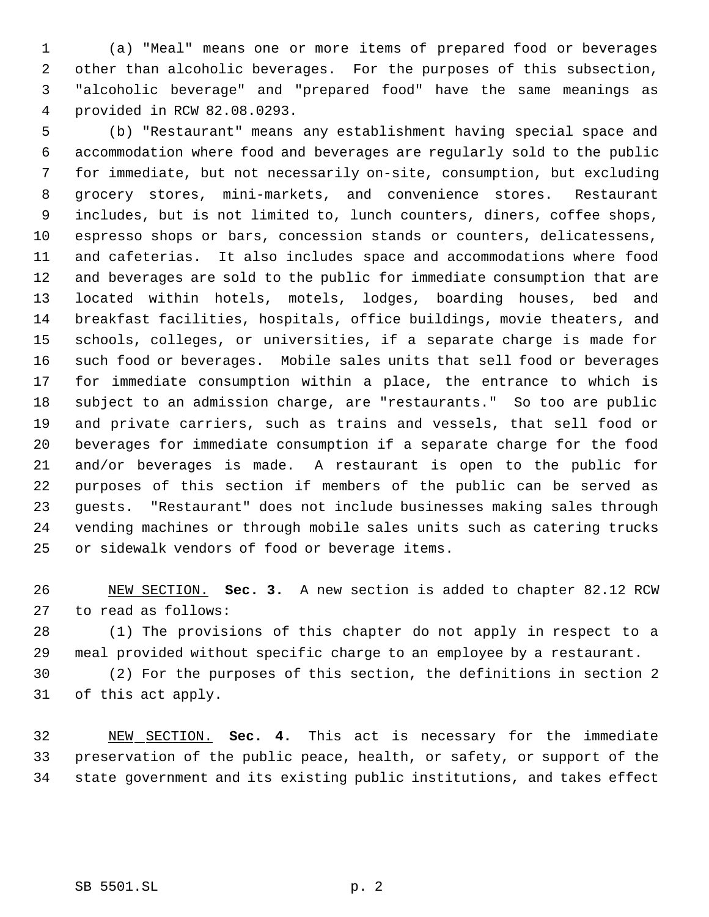(a) "Meal" means one or more items of prepared food or beverages other than alcoholic beverages. For the purposes of this subsection, "alcoholic beverage" and "prepared food" have the same meanings as provided in RCW 82.08.0293.

 (b) "Restaurant" means any establishment having special space and accommodation where food and beverages are regularly sold to the public for immediate, but not necessarily on-site, consumption, but excluding grocery stores, mini-markets, and convenience stores. Restaurant includes, but is not limited to, lunch counters, diners, coffee shops, espresso shops or bars, concession stands or counters, delicatessens, and cafeterias. It also includes space and accommodations where food and beverages are sold to the public for immediate consumption that are located within hotels, motels, lodges, boarding houses, bed and breakfast facilities, hospitals, office buildings, movie theaters, and schools, colleges, or universities, if a separate charge is made for such food or beverages. Mobile sales units that sell food or beverages for immediate consumption within a place, the entrance to which is subject to an admission charge, are "restaurants." So too are public and private carriers, such as trains and vessels, that sell food or beverages for immediate consumption if a separate charge for the food and/or beverages is made. A restaurant is open to the public for purposes of this section if members of the public can be served as guests. "Restaurant" does not include businesses making sales through vending machines or through mobile sales units such as catering trucks or sidewalk vendors of food or beverage items.

 NEW SECTION. **Sec. 3.** A new section is added to chapter 82.12 RCW to read as follows:

 (1) The provisions of this chapter do not apply in respect to a meal provided without specific charge to an employee by a restaurant.

 (2) For the purposes of this section, the definitions in section 2 of this act apply.

 NEW SECTION. **Sec. 4.** This act is necessary for the immediate preservation of the public peace, health, or safety, or support of the state government and its existing public institutions, and takes effect